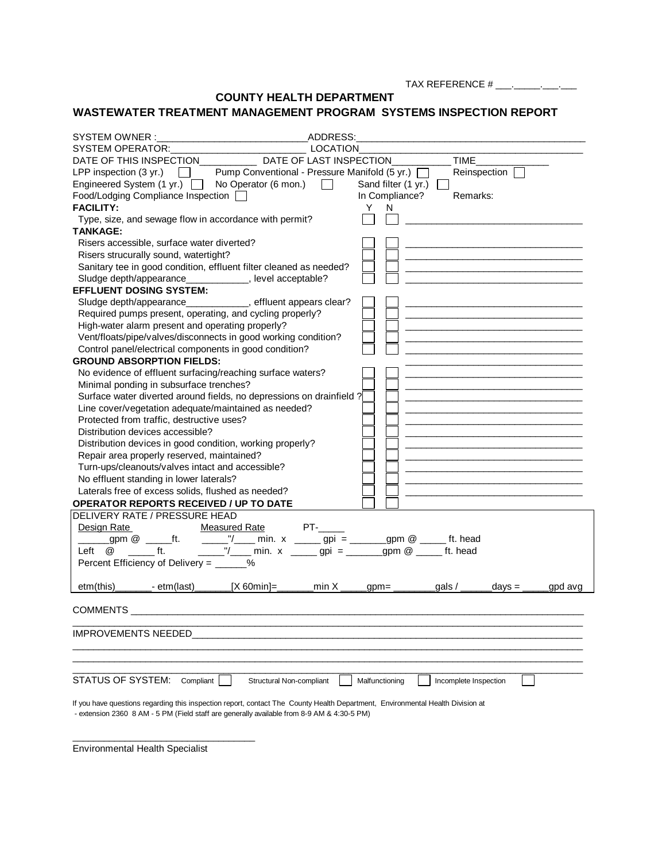TAX REFERENCE # \_\_\_\_. \_\_\_\_\_\_. \_\_\_\_.

**COUNTY HEALTH DEPARTMENT**

## **WASTEWATER TREATMENT MANAGEMENT PROGRAM SYSTEMS INSPECTION REPORT**

| SYSTEM OWNER:<br>ADDRESS:                                                                                                      |                                                                                                                               |
|--------------------------------------------------------------------------------------------------------------------------------|-------------------------------------------------------------------------------------------------------------------------------|
| SYSTEM OPERATOR: CONTRACT OF STREAM OPERATOR:<br>LOCATION                                                                      |                                                                                                                               |
| DATE OF THIS INSPECTION DATE OF LAST INSPECTION                                                                                | <b>TIME</b>                                                                                                                   |
| LPP inspection $(3 \text{ yr.})$<br>Pump Conventional - Pressure Manifold (5 yr.) [                                            | Reinspection                                                                                                                  |
| Engineered System (1 yr.)<br>No Operator (6 mon.)<br>$\mathbf{L}$                                                              | Sand filter (1 yr.)                                                                                                           |
| Food/Lodging Compliance Inspection [                                                                                           | Remarks:<br>In Compliance?                                                                                                    |
| <b>FACILITY:</b>                                                                                                               | Y.<br>N                                                                                                                       |
| Type, size, and sewage flow in accordance with permit?                                                                         |                                                                                                                               |
| <b>TANKAGE:</b>                                                                                                                |                                                                                                                               |
| Risers accessible, surface water diverted?                                                                                     |                                                                                                                               |
| Risers strucurally sound, watertight?                                                                                          |                                                                                                                               |
| Sanitary tee in good condition, effluent filter cleaned as needed?                                                             |                                                                                                                               |
| Sludge depth/appearance_____________, level acceptable?                                                                        |                                                                                                                               |
| <b>EFFLUENT DOSING SYSTEM:</b>                                                                                                 |                                                                                                                               |
| Sludge depth/appearance____________, effluent appears clear?                                                                   |                                                                                                                               |
| Required pumps present, operating, and cycling properly?                                                                       |                                                                                                                               |
| High-water alarm present and operating properly?                                                                               |                                                                                                                               |
| Vent/floats/pipe/valves/disconnects in good working condition?                                                                 | <u> 1989 - Johann John Stone, mars et al. 1989 - John Stone, mars et al. 1989 - John Stone, mars et al. 1989 - John Stone</u> |
| Control panel/electrical components in good condition?                                                                         |                                                                                                                               |
| <b>GROUND ABSORPTION FIELDS:</b>                                                                                               |                                                                                                                               |
| No evidence of effluent surfacing/reaching surface waters?                                                                     |                                                                                                                               |
| Minimal ponding in subsurface trenches?                                                                                        |                                                                                                                               |
| Surface water diverted around fields, no depressions on drainfield?                                                            |                                                                                                                               |
| Line cover/vegetation adequate/maintained as needed?                                                                           |                                                                                                                               |
| Protected from traffic, destructive uses?                                                                                      |                                                                                                                               |
| Distribution devices accessible?                                                                                               |                                                                                                                               |
| Distribution devices in good condition, working properly?                                                                      |                                                                                                                               |
| Repair area properly reserved, maintained?                                                                                     |                                                                                                                               |
| Turn-ups/cleanouts/valves intact and accessible?                                                                               |                                                                                                                               |
| No effluent standing in lower laterals?                                                                                        |                                                                                                                               |
| Laterals free of excess solids, flushed as needed?                                                                             |                                                                                                                               |
| <b>OPERATOR REPORTS RECEIVED / UP TO DATE</b>                                                                                  |                                                                                                                               |
| DELIVERY RATE / PRESSURE HEAD                                                                                                  |                                                                                                                               |
| Measured Rate PT-<br>Design Rate                                                                                               |                                                                                                                               |
| <u>_Rate_</u><br>_gpm @ ______ft.<br>______"/_____ min. x ______ gpi = _______ gpm @ _____ ft. head                            |                                                                                                                               |
| $\mathsf{f}$ to $\mathsf{f}$ to $\mathsf{f}$ to $\mathsf{f}$<br>Left @                                                         |                                                                                                                               |
| Percent Efficiency of Delivery = ______%                                                                                       |                                                                                                                               |
|                                                                                                                                |                                                                                                                               |
| $[X 60min] =$ min X<br>etm(this)<br>_________- etm(last)_______                                                                | $gpm =$<br>_gals / $\_\_$<br>$days =$<br>gpd avg                                                                              |
|                                                                                                                                |                                                                                                                               |
| <b>COMMENTS</b>                                                                                                                |                                                                                                                               |
|                                                                                                                                |                                                                                                                               |
| <b>IMPROVEMENTS NEEDED</b>                                                                                                     |                                                                                                                               |
|                                                                                                                                |                                                                                                                               |
|                                                                                                                                |                                                                                                                               |
|                                                                                                                                |                                                                                                                               |
| <b>STATUS OF SYSTEM:</b><br>Compliant<br>Structural Non-compliant                                                              | Malfunctioning<br>Incomplete Inspection                                                                                       |
| If you have questions regarding this inspection report, contact The County Health Department, Environmental Health Division at |                                                                                                                               |
| - extension 2360 8 AM - 5 PM (Field staff are generally available from 8-9 AM & 4:30-5 PM)                                     |                                                                                                                               |

Environmental Health Specialist

\_\_\_\_\_\_\_\_\_\_\_\_\_\_\_\_\_\_\_\_\_\_\_\_\_\_\_\_\_\_\_\_\_\_\_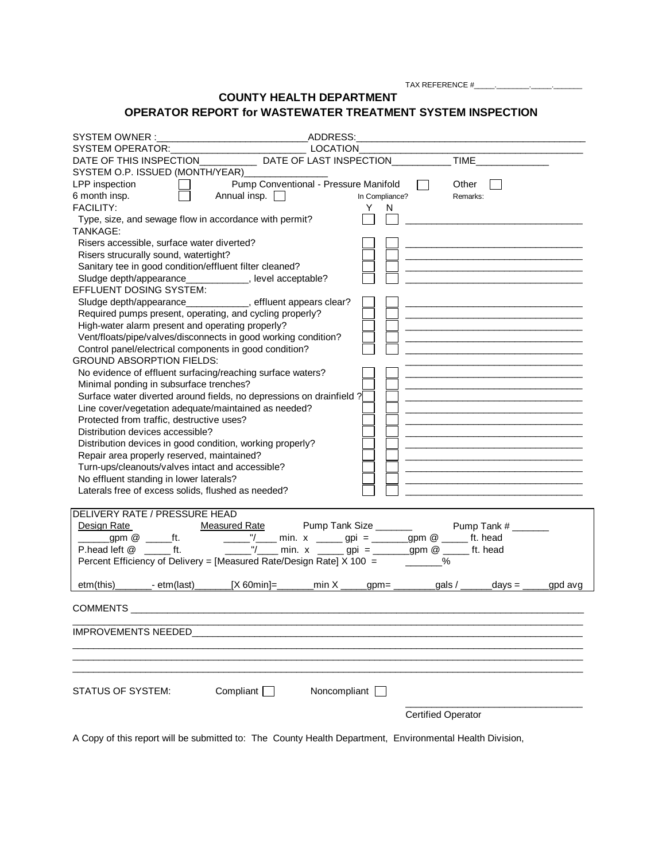TAX REFERENCE #\_\_\_\_\_.\_\_\_\_\_\_\_\_.\_\_\_\_\_.\_\_\_\_\_\_\_

## **COUNTY HEALTH DEPARTMENT OPERATOR REPORT for WASTEWATER TREATMENT SYSTEM INSPECTION**

| ADDRESS:<br>SYSTEM OWNER:<br><u> 1989 - Johann Barn, mars ann an t-Amhain an t-Amhain an t-Amhain an t-Amhain an t-Amhain an t-Amhain an t-A</u> |                |                           |                                                                            |         |
|--------------------------------------------------------------------------------------------------------------------------------------------------|----------------|---------------------------|----------------------------------------------------------------------------|---------|
| SYSTEM OPERATOR: CONSUMING A LOCATION                                                                                                            |                |                           |                                                                            |         |
| DATE OF THIS INSPECTION DATE OF LAST INSPECTION                                                                                                  |                |                           | <b>TIME</b>                                                                |         |
| SYSTEM O.P. ISSUED (MONTH/YEAR) ______________                                                                                                   |                |                           |                                                                            |         |
| Pump Conventional - Pressure Manifold<br>LPP inspection                                                                                          |                | Other                     |                                                                            |         |
| Annual insp. $\Box$<br>6 month insp.                                                                                                             | In Compliance? | Remarks:                  |                                                                            |         |
| <b>FACILITY:</b>                                                                                                                                 | Y.<br>N        |                           |                                                                            |         |
| Type, size, and sewage flow in accordance with permit?                                                                                           |                |                           |                                                                            |         |
| TANKAGE:                                                                                                                                         |                |                           |                                                                            |         |
| Risers accessible, surface water diverted?                                                                                                       |                |                           |                                                                            |         |
| Risers strucurally sound, watertight?                                                                                                            |                |                           |                                                                            |         |
| Sanitary tee in good condition/effluent filter cleaned?                                                                                          |                |                           |                                                                            |         |
| Sludge depth/appearance_____________, level acceptable?                                                                                          |                |                           |                                                                            |         |
| EFFLUENT DOSING SYSTEM:                                                                                                                          |                |                           |                                                                            |         |
| Sludge depth/appearance____________, effluent appears clear?                                                                                     |                |                           |                                                                            |         |
| Required pumps present, operating, and cycling properly?                                                                                         |                |                           |                                                                            |         |
| High-water alarm present and operating properly?                                                                                                 |                |                           |                                                                            |         |
| Vent/floats/pipe/valves/disconnects in good working condition?                                                                                   |                |                           |                                                                            |         |
| Control panel/electrical components in good condition?                                                                                           |                |                           |                                                                            |         |
| <b>GROUND ABSORPTION FIELDS:</b>                                                                                                                 |                |                           |                                                                            |         |
| No evidence of effluent surfacing/reaching surface waters?                                                                                       |                |                           |                                                                            |         |
| Minimal ponding in subsurface trenches?                                                                                                          |                |                           |                                                                            |         |
| Surface water diverted around fields, no depressions on drainfield ?                                                                             |                |                           |                                                                            |         |
| Line cover/vegetation adequate/maintained as needed?                                                                                             |                |                           |                                                                            |         |
| Protected from traffic, destructive uses?                                                                                                        |                |                           |                                                                            |         |
| Distribution devices accessible?                                                                                                                 |                |                           |                                                                            |         |
| Distribution devices in good condition, working properly?                                                                                        |                |                           |                                                                            |         |
| Repair area properly reserved, maintained?                                                                                                       |                |                           |                                                                            |         |
| Turn-ups/cleanouts/valves intact and accessible?                                                                                                 |                |                           |                                                                            |         |
| No effluent standing in lower laterals?                                                                                                          |                |                           | the control of the control of the control of the control of the control of |         |
| Laterals free of excess solids, flushed as needed?                                                                                               |                |                           |                                                                            |         |
| DELIVERY RATE / PRESSURE HEAD                                                                                                                    |                |                           |                                                                            |         |
| Design Rate <b>Measured Rate</b> Pump Tank Size <b>Constant Pump Tank #</b> ______                                                               |                |                           |                                                                            |         |
|                                                                                                                                                  |                |                           |                                                                            |         |
| _ min. x _____ gpi = ______ gpm @ _____ ft. head                                                                                                 |                |                           |                                                                            |         |
| Percent Efficiency of Delivery = [Measured Rate/Design Rate] X 100 =                                                                             |                | %                         |                                                                            |         |
|                                                                                                                                                  |                |                           |                                                                            |         |
| etm(this)_________- etm(last)_______<br>_[X 60min]=________min X ______gpm= _________gals / _______days = _____                                  |                |                           |                                                                            | gpd avg |
|                                                                                                                                                  |                |                           |                                                                            |         |
| <b>COMMENTS</b>                                                                                                                                  |                |                           |                                                                            |         |
|                                                                                                                                                  |                |                           |                                                                            |         |
| <b>IMPROVEMENTS NEEDED</b>                                                                                                                       |                |                           |                                                                            |         |
|                                                                                                                                                  |                |                           |                                                                            |         |
|                                                                                                                                                  |                |                           |                                                                            |         |
|                                                                                                                                                  |                |                           |                                                                            |         |
| Compliant [<br>STATUS OF SYSTEM:                                                                                                                 | Noncompliant [ |                           |                                                                            |         |
|                                                                                                                                                  |                |                           |                                                                            |         |
|                                                                                                                                                  |                | <b>Certified Operator</b> |                                                                            |         |
|                                                                                                                                                  |                |                           |                                                                            |         |

A Copy of this report will be submitted to: The County Health Department, Environmental Health Division,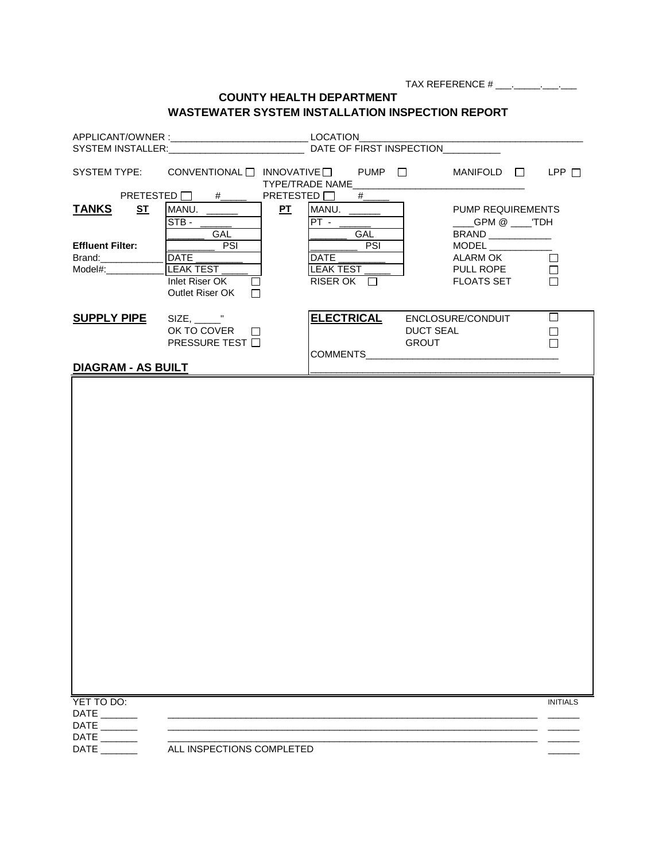|                             |                                                                  | <b>COUNTY HEALTH DEPARTMENT</b> |                                                                                                                                                                                                                                                                                                                                                                                                                  |                 |
|-----------------------------|------------------------------------------------------------------|---------------------------------|------------------------------------------------------------------------------------------------------------------------------------------------------------------------------------------------------------------------------------------------------------------------------------------------------------------------------------------------------------------------------------------------------------------|-----------------|
|                             | <b>WASTEWATER SYSTEM INSTALLATION INSPECTION REPORT</b>          |                                 |                                                                                                                                                                                                                                                                                                                                                                                                                  |                 |
|                             |                                                                  |                                 |                                                                                                                                                                                                                                                                                                                                                                                                                  |                 |
|                             |                                                                  |                                 |                                                                                                                                                                                                                                                                                                                                                                                                                  |                 |
|                             | SYSTEM INSTALLER: CONTROL DATE OF FIRST INSPECTION               |                                 |                                                                                                                                                                                                                                                                                                                                                                                                                  |                 |
|                             | SYSTEM TYPE: CONVENTIONAL I INNOVATIVE I PUMP I MANIFOLD I LPP I | TYPE/TRADE NAME                 |                                                                                                                                                                                                                                                                                                                                                                                                                  |                 |
|                             | PRETESTED $\Box$ #                                               | PRETESTED $\Box$ #              |                                                                                                                                                                                                                                                                                                                                                                                                                  |                 |
| <u>ST</u><br><b>TANKS</b>   | PI<br>MANU.                                                      | MANU.                           | <b>PUMP REQUIREMENTS</b>                                                                                                                                                                                                                                                                                                                                                                                         |                 |
|                             | <b>STB -</b>                                                     | $PT -$                          | ___GPM @ ___TDH                                                                                                                                                                                                                                                                                                                                                                                                  |                 |
| <b>Effluent Filter:</b>     | <b>GAL</b><br>$\overline{\phantom{a}}$ PSI                       | GAL<br>PSI                      | BRAND ___________<br>$\begin{picture}(180,10) \put(0,0){\dashbox{0.5}(10,0){ }} \put(10,0){\circle{10}} \put(10,0){\circle{10}} \put(10,0){\circle{10}} \put(10,0){\circle{10}} \put(10,0){\circle{10}} \put(10,0){\circle{10}} \put(10,0){\circle{10}} \put(10,0){\circle{10}} \put(10,0){\circle{10}} \put(10,0){\circle{10}} \put(10,0){\circle{10}} \put(10,0){\circle{10}} \put(10,0){\circle{10}} \put(10$ |                 |
| Brand: <b>Example</b>       | DATE                                                             | DATE                            | ALARM OK                                                                                                                                                                                                                                                                                                                                                                                                         | $\Box$          |
| $Model\#$ :                 | LEAK TEST                                                        | LEAK TEST                       | PULL ROPE                                                                                                                                                                                                                                                                                                                                                                                                        | $\Box$          |
|                             | Inlet Riser OK                                                   | RISER OK $\Box$                 | <b>FLOATS SET</b>                                                                                                                                                                                                                                                                                                                                                                                                | П               |
|                             | Outlet Riser OK<br>П                                             |                                 |                                                                                                                                                                                                                                                                                                                                                                                                                  |                 |
|                             |                                                                  |                                 |                                                                                                                                                                                                                                                                                                                                                                                                                  |                 |
| <b>SUPPLY PIPE</b>          | $SIZE, \_\_\_\_\$                                                | <b>ELECTRICAL</b>               | ENCLOSURE/CONDUIT                                                                                                                                                                                                                                                                                                                                                                                                | $\Box$          |
|                             | OK TO COVER<br>$\perp$<br><b>PRESSURE TEST</b> □                 |                                 | <b>DUCT SEAL</b><br><b>GROUT</b>                                                                                                                                                                                                                                                                                                                                                                                 | $\mathbf{I}$    |
|                             |                                                                  | COMMENTS__________________      |                                                                                                                                                                                                                                                                                                                                                                                                                  |                 |
| <b>DIAGRAM - AS BUILT</b>   |                                                                  |                                 |                                                                                                                                                                                                                                                                                                                                                                                                                  |                 |
|                             |                                                                  |                                 |                                                                                                                                                                                                                                                                                                                                                                                                                  |                 |
|                             |                                                                  |                                 |                                                                                                                                                                                                                                                                                                                                                                                                                  |                 |
|                             |                                                                  |                                 |                                                                                                                                                                                                                                                                                                                                                                                                                  |                 |
|                             |                                                                  |                                 |                                                                                                                                                                                                                                                                                                                                                                                                                  |                 |
|                             |                                                                  |                                 |                                                                                                                                                                                                                                                                                                                                                                                                                  |                 |
|                             |                                                                  |                                 |                                                                                                                                                                                                                                                                                                                                                                                                                  |                 |
|                             |                                                                  |                                 |                                                                                                                                                                                                                                                                                                                                                                                                                  |                 |
|                             |                                                                  |                                 |                                                                                                                                                                                                                                                                                                                                                                                                                  |                 |
|                             |                                                                  |                                 |                                                                                                                                                                                                                                                                                                                                                                                                                  |                 |
|                             |                                                                  |                                 |                                                                                                                                                                                                                                                                                                                                                                                                                  |                 |
|                             |                                                                  |                                 |                                                                                                                                                                                                                                                                                                                                                                                                                  |                 |
|                             |                                                                  |                                 |                                                                                                                                                                                                                                                                                                                                                                                                                  |                 |
|                             |                                                                  |                                 |                                                                                                                                                                                                                                                                                                                                                                                                                  |                 |
|                             |                                                                  |                                 |                                                                                                                                                                                                                                                                                                                                                                                                                  |                 |
|                             |                                                                  |                                 |                                                                                                                                                                                                                                                                                                                                                                                                                  |                 |
|                             |                                                                  |                                 |                                                                                                                                                                                                                                                                                                                                                                                                                  |                 |
|                             |                                                                  |                                 |                                                                                                                                                                                                                                                                                                                                                                                                                  |                 |
|                             |                                                                  |                                 |                                                                                                                                                                                                                                                                                                                                                                                                                  |                 |
|                             |                                                                  |                                 |                                                                                                                                                                                                                                                                                                                                                                                                                  |                 |
|                             |                                                                  |                                 |                                                                                                                                                                                                                                                                                                                                                                                                                  |                 |
|                             |                                                                  |                                 |                                                                                                                                                                                                                                                                                                                                                                                                                  |                 |
|                             |                                                                  |                                 |                                                                                                                                                                                                                                                                                                                                                                                                                  |                 |
|                             |                                                                  |                                 |                                                                                                                                                                                                                                                                                                                                                                                                                  |                 |
|                             |                                                                  |                                 |                                                                                                                                                                                                                                                                                                                                                                                                                  |                 |
| YET TO DO:                  |                                                                  |                                 |                                                                                                                                                                                                                                                                                                                                                                                                                  | <b>INITIALS</b> |
| $DATE$ <sub>_______</sub>   |                                                                  |                                 |                                                                                                                                                                                                                                                                                                                                                                                                                  |                 |
| $DATE$ <sub>_______</sub>   |                                                                  |                                 |                                                                                                                                                                                                                                                                                                                                                                                                                  |                 |
| $\mathsf{DATE} \_\_\_\_\_\$ |                                                                  |                                 |                                                                                                                                                                                                                                                                                                                                                                                                                  |                 |
|                             | ALL INSPECTIONS COMPLETED                                        |                                 |                                                                                                                                                                                                                                                                                                                                                                                                                  |                 |
|                             |                                                                  |                                 |                                                                                                                                                                                                                                                                                                                                                                                                                  |                 |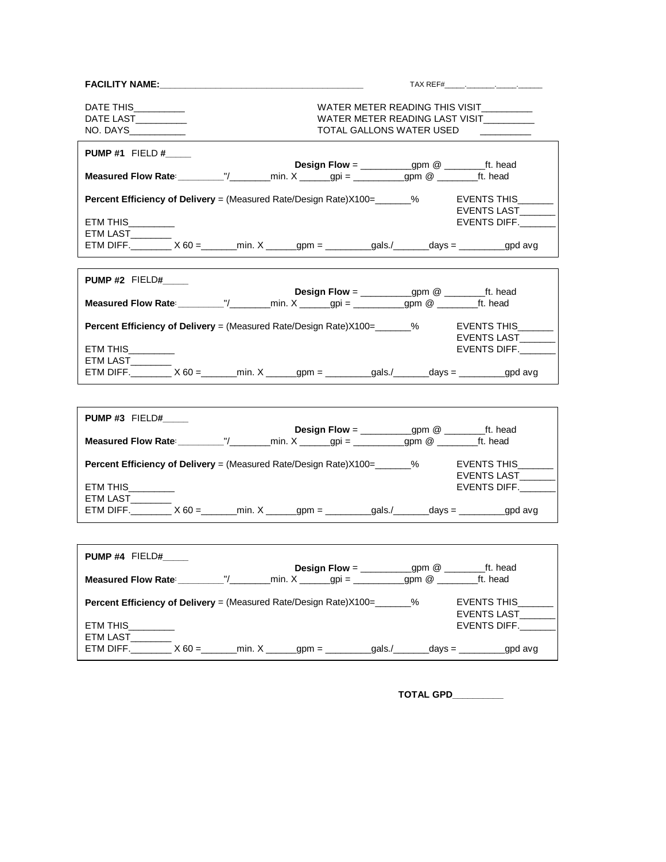| FACILITY NAME:                                                                                                                                                                       |                                                                                                       |  |                                                                                  |  |  |
|--------------------------------------------------------------------------------------------------------------------------------------------------------------------------------------|-------------------------------------------------------------------------------------------------------|--|----------------------------------------------------------------------------------|--|--|
| DATE THIS__________<br>DATE LAST___________<br>NO. DAYS___________                                                                                                                   | WATER METER READING THIS VISIT<br>WATER METER READING LAST VISIT_________<br>TOTAL GALLONS WATER USED |  |                                                                                  |  |  |
| <b>PUMP #1 FIELD #</b><br><b>Measured Flow Rate:</b> __________"/_________min. X _______gpi = ___________gpm @ _________ft. head                                                     | <b>Design Flow</b> = $\_\_\_\_\_$ gpm @ $\_\_\_\_$ ft. head                                           |  |                                                                                  |  |  |
|                                                                                                                                                                                      |                                                                                                       |  |                                                                                  |  |  |
| Percent Efficiency of Delivery = (Measured Rate/Design Rate)X100=_______%<br>ETM THIS__________<br>ETM LAST______<br>ETM DIFF. X 60 = min. X _ gpm = _ gals./ _ _ days = _ _ gpd avg |                                                                                                       |  | EVENTS THIS<br>EVENTS LAST<br>EVENTS DIFF.                                       |  |  |
|                                                                                                                                                                                      |                                                                                                       |  |                                                                                  |  |  |
| <b>PUMP #2 FIELD#</b>                                                                                                                                                                | <b>Design Flow</b> = $\frac{1}{\sqrt{2\pi}}$ gpm @ $\frac{1}{\sqrt{2\pi}}$ ft. head                   |  |                                                                                  |  |  |
| <b>Measured Flow Rate:</b> __________"/_________min. X _______gpi = ___________gpm @ ________ft. head                                                                                |                                                                                                       |  |                                                                                  |  |  |
| <b>Percent Efficiency of Delivery</b> = (Measured Rate/Design Rate)X100=________%                                                                                                    |                                                                                                       |  | EVENTS THIS<br>EVENTS LAST                                                       |  |  |
| ETM THIS<br>ETM LAST________<br>ETM DIFF. ________ X 60 =_______min. X ______gpm = _________gals./_______days = _________gpd avg                                                     |                                                                                                       |  | EVENTS DIFF.                                                                     |  |  |
|                                                                                                                                                                                      |                                                                                                       |  |                                                                                  |  |  |
|                                                                                                                                                                                      |                                                                                                       |  |                                                                                  |  |  |
| PUMP#3 FIELD#                                                                                                                                                                        |                                                                                                       |  |                                                                                  |  |  |
| <b>Measured Flow Rate:</b> __________"/________min. $X$ ______gpi = __________gpm @ ________ft. head                                                                                 | <b>Design Flow</b> = $\frac{1}{\sqrt{2\pi}}$ gpm @ $\frac{1}{\sqrt{2\pi}}$ ft. head                   |  |                                                                                  |  |  |
| <b>Percent Efficiency of Delivery</b> = (Measured Rate/Design Rate)X100=_______%<br>ETM THIS<br>ETM LAST                                                                             |                                                                                                       |  | EVENTS THIS<br>EVENTS LAST<br>EVENTS DIFF.                                       |  |  |
| ETM DIFF. ________ X 60 =_______min. X ______gpm = _________gals./_______days = _________gpd avg                                                                                     |                                                                                                       |  |                                                                                  |  |  |
|                                                                                                                                                                                      |                                                                                                       |  |                                                                                  |  |  |
| <b>PUMP#4 FIELD#</b>                                                                                                                                                                 |                                                                                                       |  |                                                                                  |  |  |
| <b>Measured Flow Rate</b> : $\underline{\hspace{1cm}}''/\underline{\hspace{1cm}}$ min. X ______gpi = _________gpm @ ______                                                           | <b>Design Flow</b> = $\_\_\_\_\_$ gpm @ $\_\_\_\_$ ft. head                                           |  | ft. head                                                                         |  |  |
| <b>Percent Efficiency of Delivery</b> = (Measured Rate/Design Rate) X100= %<br>ETM THIS<br>ETM LAST_<br>ETM DIFF.<br>$X 60 =$                                                        |                                                                                                       |  | EVENTS THIS<br>EVENTS LAST_<br>EVENTS DIFF.<br>$\dots$ days = $\_\_\_\_$ gpd avg |  |  |

 **TOTAL GPD\_\_\_\_\_\_\_\_\_\_**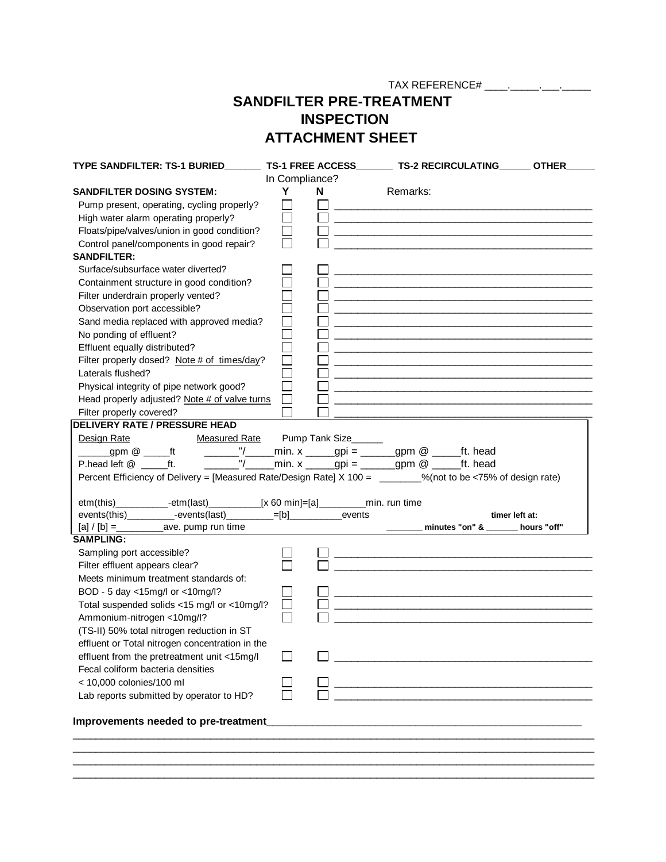TAX REFERENCE# \_\_\_\_.\_\_\_\_\_.\_\_\_.\_\_\_\_\_

## **SANDFILTER PRE-TREATMENT INSPECTION ATTACHMENT SHEET**

|                                                                                                              |                             | TS-1 FREE ACCESS | TS-2 RECIRCULATING OTHER                                          |  |
|--------------------------------------------------------------------------------------------------------------|-----------------------------|------------------|-------------------------------------------------------------------|--|
|                                                                                                              | In Compliance?              |                  |                                                                   |  |
| <b>SANDFILTER DOSING SYSTEM:</b>                                                                             | Y                           | N                | Remarks:                                                          |  |
| Pump present, operating, cycling properly?                                                                   | $\mathcal{L}_{\mathcal{A}}$ |                  |                                                                   |  |
| High water alarm operating properly?                                                                         | $\overline{\phantom{a}}$    |                  |                                                                   |  |
| Floats/pipe/valves/union in good condition?                                                                  |                             |                  |                                                                   |  |
| Control panel/components in good repair?                                                                     |                             |                  |                                                                   |  |
| <b>SANDFILTER:</b>                                                                                           |                             |                  |                                                                   |  |
| Surface/subsurface water diverted?                                                                           |                             |                  |                                                                   |  |
| Containment structure in good condition?                                                                     |                             |                  |                                                                   |  |
| Filter underdrain properly vented?                                                                           |                             |                  |                                                                   |  |
| Observation port accessible?                                                                                 |                             |                  |                                                                   |  |
|                                                                                                              | $\Box$                      |                  |                                                                   |  |
| Sand media replaced with approved media?                                                                     |                             |                  |                                                                   |  |
| No ponding of effluent?                                                                                      |                             |                  |                                                                   |  |
| Effluent equally distributed?                                                                                |                             |                  |                                                                   |  |
| Filter properly dosed? Note # of times/day?                                                                  |                             |                  |                                                                   |  |
| Laterals flushed?                                                                                            |                             |                  |                                                                   |  |
| Physical integrity of pipe network good?                                                                     |                             |                  |                                                                   |  |
| Head properly adjusted? Note # of valve turns                                                                | $\Box$                      |                  |                                                                   |  |
| Filter properly covered?                                                                                     |                             |                  |                                                                   |  |
| <b>DELIVERY RATE / PRESSURE HEAD</b>                                                                         |                             |                  |                                                                   |  |
| Design Rate<br>Measured Rate Pump Tank Size                                                                  |                             |                  |                                                                   |  |
| ______gpm @ _____ft    _______"/_____min. x _____gpi = ______gpm @ _____ft. head                             |                             |                  |                                                                   |  |
| P.head left @ ft.                                                                                            |                             |                  | _______"/______min. x ______gpi = _______gpm @ ______ft. head     |  |
| Percent Efficiency of Delivery = [Measured Rate/Design Rate] X 100 = _______%(not to be <75% of design rate) |                             |                  |                                                                   |  |
|                                                                                                              |                             |                  |                                                                   |  |
| etm(this)____________-etm(last)_____________[x 60 min]=[a]___________min. run time                           |                             |                  |                                                                   |  |
|                                                                                                              |                             |                  |                                                                   |  |
| events(this)___________-events(last)___________=[b]_______________events                                     |                             |                  | timer left at:                                                    |  |
|                                                                                                              |                             |                  | ________ minutes "on" & ______ hours "off"                        |  |
| <b>SAMPLING:</b>                                                                                             |                             |                  |                                                                   |  |
| Sampling port accessible?                                                                                    |                             |                  |                                                                   |  |
| Filter effluent appears clear?                                                                               |                             |                  |                                                                   |  |
| Meets minimum treatment standards of:                                                                        |                             |                  |                                                                   |  |
|                                                                                                              |                             |                  |                                                                   |  |
| BOD - 5 day <15mg/l or <10mg/l?                                                                              |                             |                  |                                                                   |  |
| Total suspended solids <15 mg/l or <10mg/l?                                                                  |                             |                  |                                                                   |  |
| Ammonium-nitrogen <10mg/l?                                                                                   |                             |                  |                                                                   |  |
| (TS-II) 50% total nitrogen reduction in ST                                                                   |                             |                  |                                                                   |  |
| effluent or Total nitrogen concentration in the                                                              |                             |                  |                                                                   |  |
| effluent from the pretreatment unit <15mg/l                                                                  |                             |                  |                                                                   |  |
| Fecal coliform bacteria densities                                                                            |                             |                  |                                                                   |  |
| < 10,000 colonies/100 ml                                                                                     |                             |                  | <u> 1989 - Jan James Barnett, mars eta biztanleria (h. 1982).</u> |  |
| Lab reports submitted by operator to HD?                                                                     |                             |                  |                                                                   |  |
|                                                                                                              |                             |                  |                                                                   |  |
| Improvements needed to pre-treatment                                                                         |                             |                  |                                                                   |  |
|                                                                                                              |                             |                  |                                                                   |  |
|                                                                                                              |                             |                  |                                                                   |  |
|                                                                                                              |                             |                  |                                                                   |  |